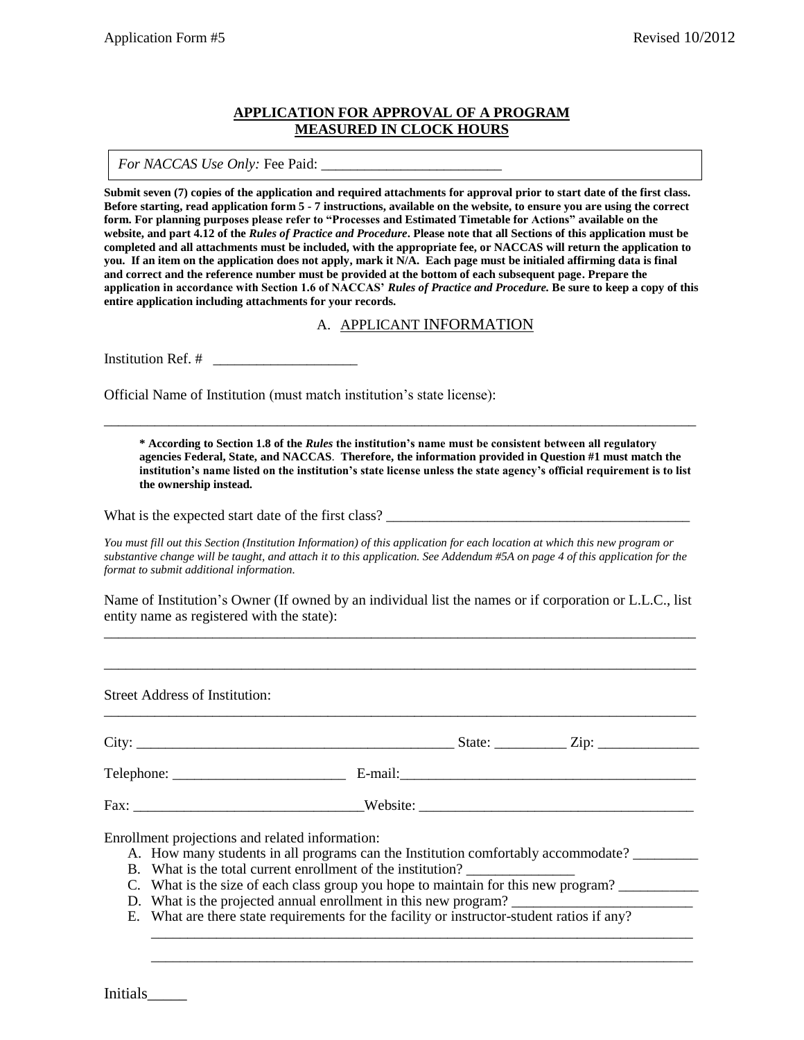#### **APPLICATION FOR APPROVAL OF A PROGRAM MEASURED IN CLOCK HOURS**

*For NACCAS Use Only:* Fee Paid: \_\_\_\_\_\_\_\_\_\_\_\_\_\_\_\_\_\_\_\_\_\_\_\_\_

**Submit seven (7) copies of the application and required attachments for approval prior to start date of the first class. Before starting, read application form 5 - 7 instructions, available on the website, to ensure you are using the correct form. For planning purposes please refer to "Processes and Estimated Timetable for Actions" available on the website, and part 4.12 of the** *Rules of Practice and Procedure***. Please note that all Sections of this application must be completed and all attachments must be included, with the appropriate fee, or NACCAS will return the application to you. If an item on the application does not apply, mark it N/A. Each page must be initialed affirming data is final and correct and the reference number must be provided at the bottom of each subsequent page. Prepare the application in accordance with Section 1.6 of NACCAS'** *Rules of Practice and Procedure.* **Be sure to keep a copy of this entire application including attachments for your records.** 

A. APPLICANT INFORMATION

Institution Ref.  $#$ 

Official Name of Institution (must match institution's state license):

**\* According to Section 1.8 of the** *Rules* **the institution's name must be consistent between all regulatory agencies Federal, State, and NACCAS**. **Therefore, the information provided in Question #1 must match the institution's name listed on the institution's state license unless the state agency's official requirement is to list the ownership instead.** 

\_\_\_\_\_\_\_\_\_\_\_\_\_\_\_\_\_\_\_\_\_\_\_\_\_\_\_\_\_\_\_\_\_\_\_\_\_\_\_\_\_\_\_\_\_\_\_\_\_\_\_\_\_\_\_\_\_\_\_\_\_\_\_\_\_\_\_\_\_\_\_\_\_\_\_\_\_\_\_\_\_\_

What is the expected start date of the first class?

*You must fill out this Section (Institution Information) of this application for each location at which this new program or substantive change will be taught, and attach it to this application. See Addendum #5A on page 4 of this application for the format to submit additional information.*

Name of Institution's Owner (If owned by an individual list the names or if corporation or L.L.C., list entity name as registered with the state): \_\_\_\_\_\_\_\_\_\_\_\_\_\_\_\_\_\_\_\_\_\_\_\_\_\_\_\_\_\_\_\_\_\_\_\_\_\_\_\_\_\_\_\_\_\_\_\_\_\_\_\_\_\_\_\_\_\_\_\_\_\_\_\_\_\_\_\_\_\_\_\_\_\_\_\_\_\_\_\_\_\_

\_\_\_\_\_\_\_\_\_\_\_\_\_\_\_\_\_\_\_\_\_\_\_\_\_\_\_\_\_\_\_\_\_\_\_\_\_\_\_\_\_\_\_\_\_\_\_\_\_\_\_\_\_\_\_\_\_\_\_\_\_\_\_\_\_\_\_\_\_\_\_\_\_\_\_\_\_\_\_\_\_\_

\_\_\_\_\_\_\_\_\_\_\_\_\_\_\_\_\_\_\_\_\_\_\_\_\_\_\_\_\_\_\_\_\_\_\_\_\_\_\_\_\_\_\_\_\_\_\_\_\_\_\_\_\_\_\_\_\_\_\_\_\_\_\_\_\_\_\_\_\_\_\_\_\_\_\_\_\_\_\_\_\_\_

Street Address of Institution:

City: \_\_\_\_\_\_\_\_\_\_\_\_\_\_\_\_\_\_\_\_\_\_\_\_\_\_\_\_\_\_\_\_\_\_\_\_\_\_\_\_\_\_\_\_ State: \_\_\_\_\_\_\_\_\_\_ Zip: \_\_\_\_\_\_\_\_\_\_\_\_\_\_

Telephone: \_\_\_\_\_\_\_\_\_\_\_\_\_\_\_\_\_\_\_\_\_\_\_\_ E-mail:\_\_\_\_\_\_\_\_\_\_\_\_\_\_\_\_\_\_\_\_\_\_\_\_\_\_\_\_\_\_\_\_\_\_\_\_\_\_\_\_\_

Fax: \_\_\_\_\_\_\_\_\_\_\_\_\_\_\_\_\_\_\_\_\_\_\_\_\_\_\_\_\_\_\_\_Website: \_\_\_\_\_\_\_\_\_\_\_\_\_\_\_\_\_\_\_\_\_\_\_\_\_\_\_\_\_\_\_\_\_\_\_\_\_\_

Enrollment projections and related information:

- A. How many students in all programs can the Institution comfortably accommodate?
- B. What is the total current enrollment of the institution?
- C. What is the size of each class group you hope to maintain for this new program?
- D. What is the projected annual enrollment in this new program?
- E. What are there state requirements for the facility or instructor-student ratios if any?

\_\_\_\_\_\_\_\_\_\_\_\_\_\_\_\_\_\_\_\_\_\_\_\_\_\_\_\_\_\_\_\_\_\_\_\_\_\_\_\_\_\_\_\_\_\_\_\_\_\_\_\_\_\_\_\_\_\_\_\_\_\_\_\_\_\_\_\_\_\_\_\_\_\_\_ \_\_\_\_\_\_\_\_\_\_\_\_\_\_\_\_\_\_\_\_\_\_\_\_\_\_\_\_\_\_\_\_\_\_\_\_\_\_\_\_\_\_\_\_\_\_\_\_\_\_\_\_\_\_\_\_\_\_\_\_\_\_\_\_\_\_\_\_\_\_\_\_\_\_\_

Initials\_\_\_\_\_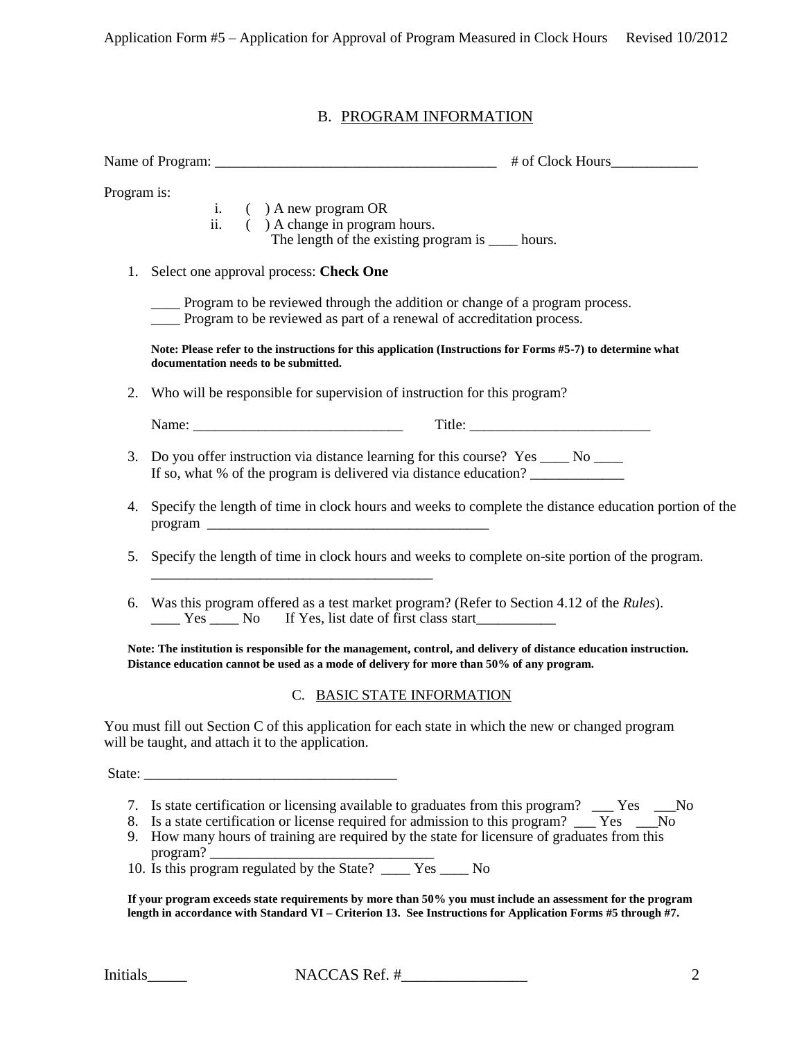# B. PROGRAM INFORMATION

| Program is: | i. $( )$ A new program OR<br>ii. ( ) A change in program hours.<br>The length of the existing program is ______ hours.                                                                                                                                                                                                                                                       |  |  |
|-------------|------------------------------------------------------------------------------------------------------------------------------------------------------------------------------------------------------------------------------------------------------------------------------------------------------------------------------------------------------------------------------|--|--|
|             | 1. Select one approval process: Check One                                                                                                                                                                                                                                                                                                                                    |  |  |
|             | ____ Program to be reviewed through the addition or change of a program process.<br>___ Program to be reviewed as part of a renewal of accreditation process.                                                                                                                                                                                                                |  |  |
|             | Note: Please refer to the instructions for this application (Instructions for Forms #5-7) to determine what<br>documentation needs to be submitted.                                                                                                                                                                                                                          |  |  |
| 2.          | Who will be responsible for supervision of instruction for this program?                                                                                                                                                                                                                                                                                                     |  |  |
|             |                                                                                                                                                                                                                                                                                                                                                                              |  |  |
| 3.          | Do you offer instruction via distance learning for this course? Yes ____ No ____<br>If so, what % of the program is delivered via distance education?                                                                                                                                                                                                                        |  |  |
| 4.          | Specify the length of time in clock hours and weeks to complete the distance education portion of the                                                                                                                                                                                                                                                                        |  |  |
| 5.          | Specify the length of time in clock hours and weeks to complete on-site portion of the program.                                                                                                                                                                                                                                                                              |  |  |
|             | 6. Was this program offered as a test market program? (Refer to Section 4.12 of the <i>Rules</i> ).                                                                                                                                                                                                                                                                          |  |  |
|             | Note: The institution is responsible for the management, control, and delivery of distance education instruction.<br>Distance education cannot be used as a mode of delivery for more than 50% of any program.                                                                                                                                                               |  |  |
|             | C. BASIC STATE INFORMATION                                                                                                                                                                                                                                                                                                                                                   |  |  |
|             | You must fill out Section C of this application for each state in which the new or changed program<br>will be taught, and attach it to the application.                                                                                                                                                                                                                      |  |  |
|             |                                                                                                                                                                                                                                                                                                                                                                              |  |  |
| 7.          | Is state certification or licensing available to graduates from this program? ____ Yes ____No<br>8. Is a state certification or license required for admission to this program? __ Yes<br>- No<br>9. How many hours of training are required by the state for licensure of graduates from this<br>program?<br>10. Is this program regulated by the State? _____ Yes _____ No |  |  |

**If your program exceeds state requirements by more than 50% you must include an assessment for the program length in accordance with Standard VI – Criterion 13. See Instructions for Application Forms #5 through #7.**

Initials NACCAS Ref. # 2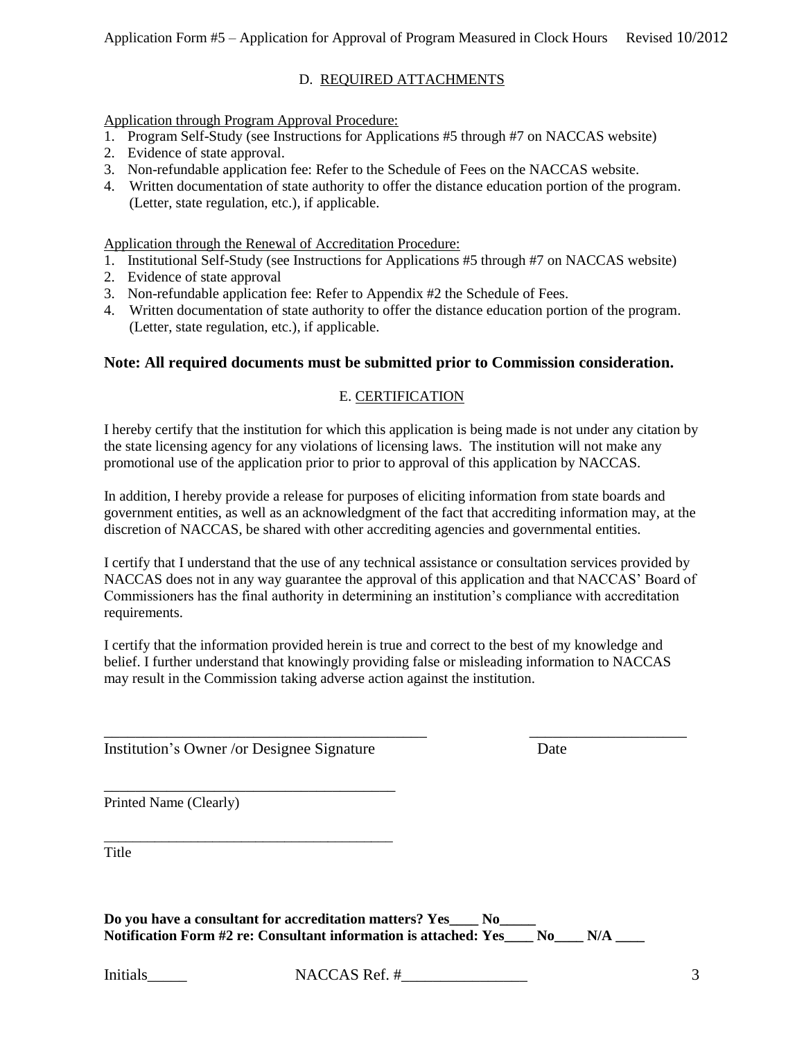# D. REQUIRED ATTACHMENTS

Application through Program Approval Procedure:

- 1. Program Self-Study (see Instructions for Applications #5 through #7 on NACCAS website)
- 2. Evidence of state approval.
- 3. Non-refundable application fee: Refer to the Schedule of Fees on the NACCAS website.
- 4. Written documentation of state authority to offer the distance education portion of the program. (Letter, state regulation, etc.), if applicable.

Application through the Renewal of Accreditation Procedure:

- 1. Institutional Self-Study (see Instructions for Applications #5 through #7 on NACCAS website)
- 2. Evidence of state approval
- 3. Non-refundable application fee: Refer to Appendix #2 the Schedule of Fees.
- 4. Written documentation of state authority to offer the distance education portion of the program. (Letter, state regulation, etc.), if applicable.

### **Note: All required documents must be submitted prior to Commission consideration.**

### E. CERTIFICATION

I hereby certify that the institution for which this application is being made is not under any citation by the state licensing agency for any violations of licensing laws. The institution will not make any promotional use of the application prior to prior to approval of this application by NACCAS.

In addition, I hereby provide a release for purposes of eliciting information from state boards and government entities, as well as an acknowledgment of the fact that accrediting information may, at the discretion of NACCAS, be shared with other accrediting agencies and governmental entities.

I certify that I understand that the use of any technical assistance or consultation services provided by NACCAS does not in any way guarantee the approval of this application and that NACCAS' Board of Commissioners has the final authority in determining an institution's compliance with accreditation requirements.

I certify that the information provided herein is true and correct to the best of my knowledge and belief. I further understand that knowingly providing false or misleading information to NACCAS may result in the Commission taking adverse action against the institution.

\_\_\_\_\_\_\_\_\_\_\_\_\_\_\_\_\_\_\_\_\_\_\_\_\_\_\_\_\_\_\_\_\_\_\_\_\_\_\_\_\_ \_\_\_\_\_\_\_\_\_\_\_\_\_\_\_\_\_\_\_\_

Institution's Owner /or Designee Signature Date

\_\_\_\_\_\_\_\_\_\_\_\_\_\_\_\_\_\_\_\_\_\_\_\_\_\_\_\_\_\_\_\_\_\_\_\_\_

\_\_\_\_\_\_\_\_\_\_\_\_\_\_\_\_\_\_\_\_\_\_\_\_\_\_\_\_\_\_\_\_\_\_\_\_\_\_\_\_

Printed Name (Clearly)

Title

**Do you have a consultant for accreditation matters? Yes\_\_\_\_ No\_\_\_\_\_ Notification Form #2 re: Consultant information is attached: Yes\_\_\_\_ No\_\_\_\_ N/A \_\_\_\_**

Initials NACCAS Ref. # \_\_\_\_\_\_\_\_\_\_\_\_\_\_\_ 3